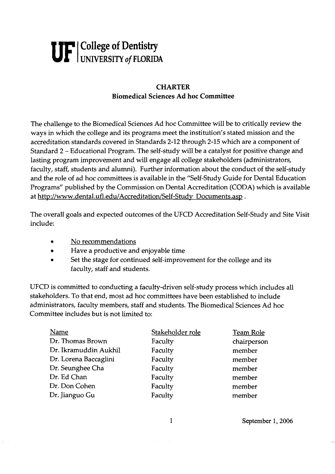## **UF u College of Dentistry UNIVERSITY** of **FLORIDA**

## **CHARTER Biomedical Sciences Ad hoc Committee**

The challenge to the Biomedical Sciences Ad hoc Committee will be to critically review the ways in which the college and its programs meet the institution's stated mission and the accreditation standards covered in Standards 2-12 through 2-15 which are a component of Standard 2 - Educational Program. The self-study will be a catalyst for positive change and lasting program improvement and will engage all college stakeholders (administrators, faculty, staff, students and alumni). Further information about the conduct of the self-study and the role of ad hoc committees is available in the "Self-study Guide for Dental Education Programs" published by the Commission on Dental Accreditation (CODA) which is available at http://www.dental.ufl.edu/Accreditation/Self-Study Documents.asp.

The overall goals and expected outcomes of the UFCD Accreditation Self-study and Site Visit include:

- No recommendations
- Have a productive and enjoyable time  $\bullet$
- Set the stage for continued self-improvement for the college and its faculty, staff and students.

UFCD is committed to conducting a faculty-driven self-study process which includes all stakeholders. To that end, most ad hoc committees have been established to include administrators, faculty members, staff and students. The Biomedical Sciences Ad hoc Committee includes but is not limited to:

| Name                  | Stakeholder role | <b>Team Role</b> |
|-----------------------|------------------|------------------|
| Dr. Thomas Brown      | Faculty          | chairperson      |
| Dr. Ikramuddin Aukhil | Faculty          | member           |
| Dr. Lorena Baccaglini | Faculty          | member           |
| Dr. Seunghee Cha      | Faculty          | member           |
| Dr. Ed Chan           | Faculty          | member           |
| Dr. Don Cohen         | Faculty          | member           |
| Dr. Jianguo Gu        | Faculty          | member           |

September **1,2006**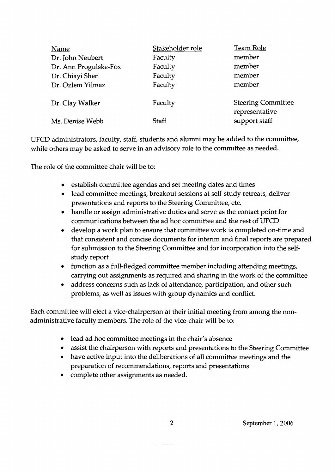| Stakeholder role | <b>Team Role</b>                            |
|------------------|---------------------------------------------|
| Faculty          | member                                      |
| Faculty          | member                                      |
| Faculty          | member                                      |
| Faculty          | member                                      |
| Faculty          | <b>Steering Committee</b><br>representative |
| <b>Staff</b>     | support staff                               |
|                  |                                             |

UFCD administrators, faculty, staff, students and alumni may be added to the committee, while others may be asked to serve in an advisory role to the committee as needed.

The role of the committee chair will be to:

- establish committee agendas and set meeting dates and times
- lead committee meetings, breakout sessions at self-study retreats, deliver  $\bullet$ presentations and reports to the Steering Committee, etc.
- handle or assign administrative duties and serve as the contact point for communications between the ad hoc committee and the rest of UFCD
- develop a work plan to ensure that committee work is completed on-time and  $\bullet$ that consistent and concise documents for interim and final reports are prepared for submission to the Steering Committee and for incorporation into the selfstudy report
- function as a full-fledged committee member including attending meetings, carrying out assignments as required and sharing in the work of the committee
- address concerns such as lack of attendance, participation, and other such problems, as well as issues with group dynamics and conflict.

Each committee will elect a vice-chairperson at their initial meeting from among the nonadministrative faculty members. The role of the vice-chair will be to:

- lead ad hoc committee meetings in the chair's absence
- assist the chairperson with reports and presentations to the Steering Committee
- have active input into the deliberations of all committee meetings and the preparation of recommendations, reports and presentations
- complete other assignments as needed.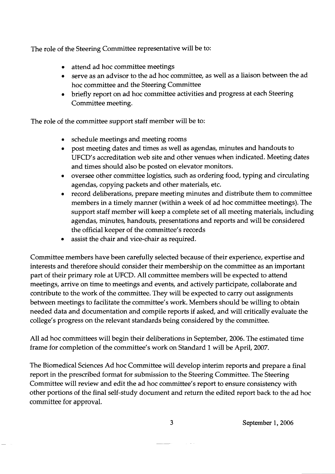The role of the Steering Committee representative will be to:

- attend ad hoc committee meetings
- serve as an advisor to the ad hoc committee, as well as a liaison between the ad hoc committee and the Steering Committee
- briefly report on ad hoc committee activities and progress at each Steering Committee meeting.

The role of the committee support staff member will be to:

- schedule meetings and meeting rooms
- post meeting dates and times as well as agendas, minutes and handouts to  $\bullet$ UFCD's accreditation web site and other venues when indicated. Meeting dates and times should also be posted on elevator monitors.
- oversee other committee logistics, such as ordering food, typing and circulating  $\bullet$ agendas, copying packets and other materials, etc.
- record deliberations, prepare meeting minutes and distribute them to committee members in a timely manner (within a week of ad hoc committee meetings). The support staff member will keep a complete set of all meeting materials, including agendas, minutes, handouts, presentations and reports and will be considered the official keeper of the committee's records
- assist the chair and vice-chair as required.

Committee members have been carefully selected because of their experience, expertise and interests and therefore should consider their membership on the committee as an important part of their primary role at UFCD. All committee members will be expected to attend meetings, arrive on time to meetings and events, and actively participate, collaborate and contribute to the work of the committee. They will be expected to carry out assignments between meetings to facilitate the committee's work. Members should be willing to obtain needed data and documentation and compile reports if asked, and will critically evaluate the college's progress on the relevant standards being considered by the committee.

All ad hoc committees will begin their deliberations in September, 2006. The estimated time frame for completion of the committee's work on Standard 1 will be April, 2007.

The Biomedical Sciences Ad hoc Committee will develop interim reports and prepare a final report in the prescribed format for submission to the Steering Committee. The Steering Committee will review and edit the ad hoc committee's report to ensure consistency with other portions of the final self-study document and return the edited report back to the ad hoc committee for approval.